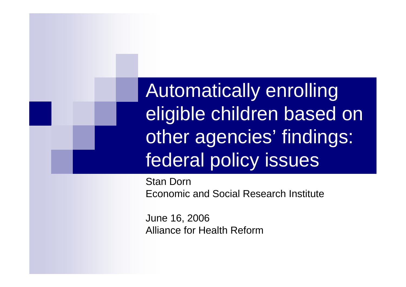Automatically enrolling eligible children based on other agencies' findings: federal policy issues

Stan Dorn Economic and Social Research Institute

June 16, 2006 Alliance for Health Reform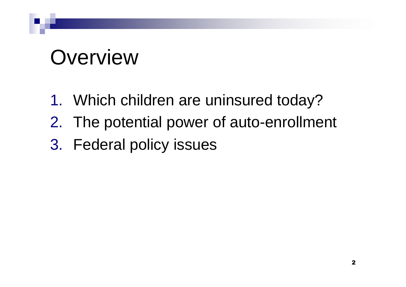## **Overview**

- 1. Which children are uninsured today?
- 2. The potential power of auto-enrollment
- 3. Federal policy issues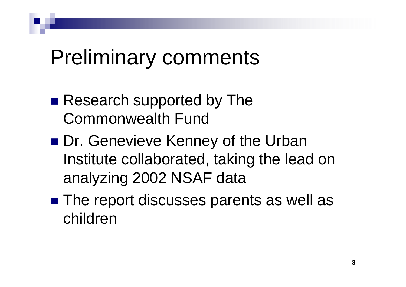## Preliminary comments

- Research supported by The Commonwealth Fund
- Dr. Genevieve Kenney of the Urban Institute collaborated, taking the lead on analyzing 2002 NSAF data
- The report discusses parents as well as children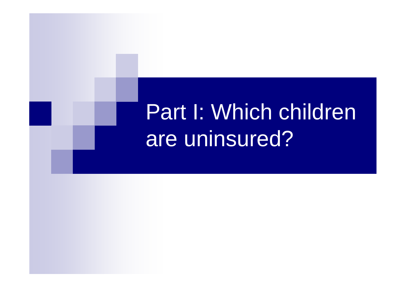# Part I: Which children are uninsured?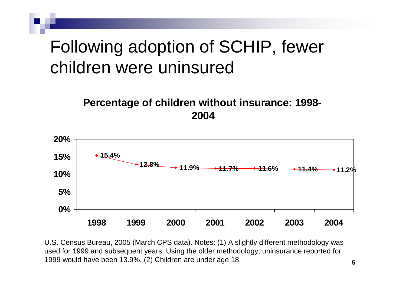#### Following adoption of SCHIP, fewer children were uninsured

#### **Percentage of children without insurance: 1998- 2004**



U.S. Census Bureau, 2005 (March CPS data). Notes: (1) A slightly different methodology was used for 1999 and subsequent years. Using the older methodology, uninsurance reported for 1999 would have been 13.9%. (2) Children are under age 18.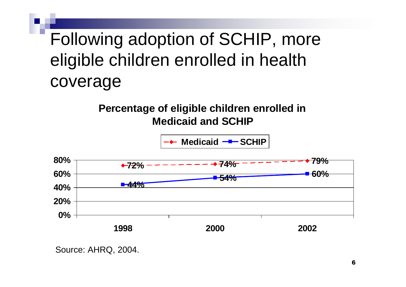#### Following adoption of SCHIP, more eligible children enrolled in health coverage

#### **Percentage of eligible children enrolled in Medicaid and SCHIP**



Source: AHRQ, 2004.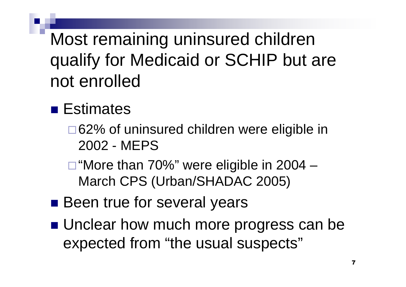Most remaining uninsured children qualify for Medicaid or SCHIP but are not enrolled

#### **Estimates**

- □62% of uninsured children were eligible in 2002 - MEPS
- □ "More than 70%" were eligible in 2004 March CPS (Urban/SHADAC 2005)
- Been true for several years
- **Unclear how much more progress can be** expected from "the usual suspects"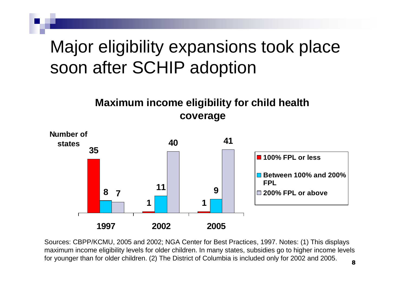#### Major eligibility expansions took place soon after SCHIP adoption

#### **Maximum income eligibility for child health coverage**



Sources: CBPP/KCMU, 2005 and 2002; NGA Center for Best Practices, 1997. Notes: (1) This displays maximum income eligibility levels for older children. In many states, subsidies go to higher income levels for younger than for older children. (2) The District of Columbia is included only for 2002 and 2005.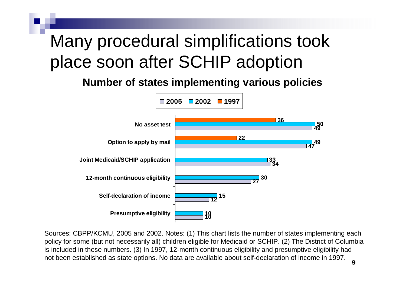#### Many procedural simplifications took place soon after SCHIP adoption

**Number of states implementing various policies**



9 Sources: CBPP/KCMU, 2005 and 2002. Notes: (1) This chart lists the number of states implementing each policy for some (but not necessarily all) children eligible for Medicaid or SCHIP. (2) The District of Columbia is included in these numbers. (3) In 1997, 12-month continuous eligibility and presumptive eligibility had not been established as state options. No data are available about self-declaration of income in 1997.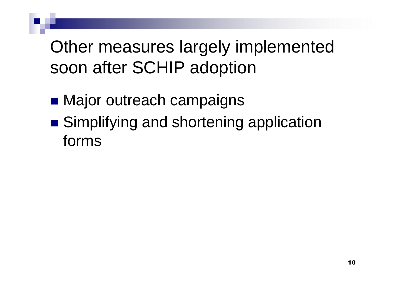#### Other measures largely implemented soon after SCHIP adoption

- **Najor outreach campaigns**
- Simplifying and shortening application forms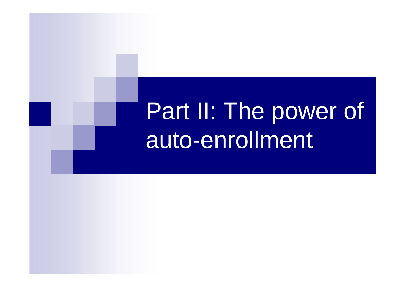# Part II: The power of auto-enrollment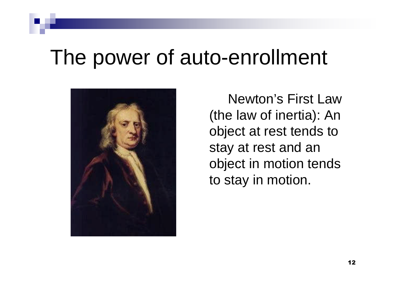### The power of auto-enrollment



Newton's First Law (the law of inertia): An object at rest tends to stay at rest and an object in motion tends to stay in motion.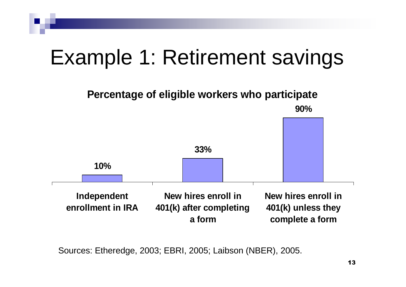## Example 1: Retirement savings



Sources: Etheredge, 2003; EBRI, 2005; Laibson (NBER), 2005.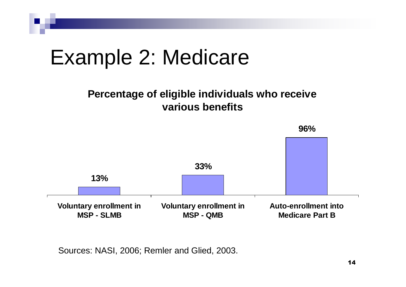

Sources: NASI, 2006; Remler and Glied, 2003.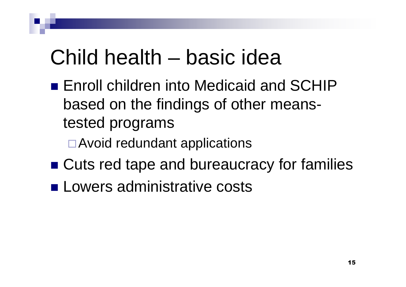## Child health – basic idea

- **Enroll children into Medicaid and SCHIP** based on the findings of other meanstested programs
	- □ Avoid redundant applications
- Cuts red tape and bureaucracy for families
- **Lowers administrative costs**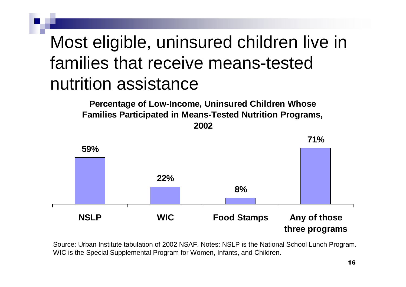#### Most eligible, uninsured children live in families that receive means-tested nutrition assistance

**Percentage of Low-Income, Uninsured Children Whose Families Participated in Means-Tested Nutrition Programs,**





Source: Urban Institute tabulation of 2002 NSAF. Notes: NSLP is the National School Lunch Program. WIC is the Special Supplemental Program for Women, Infants, and Children.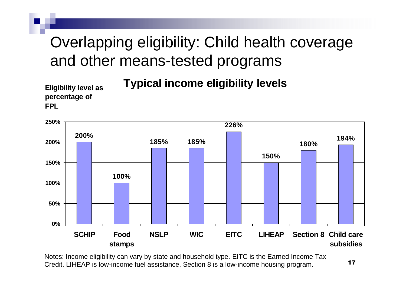#### Overlapping eligibility: Child health coverage and other means-tested programs

**Typical income eligibility levels**

**Eligibility level as percentage of FPL**



Notes: Income eligibility can vary by state and household type. EITC is the Earned Income Tax Credit. LIHEAP is low-income fuel assistance. Section 8 is a low-income housing program.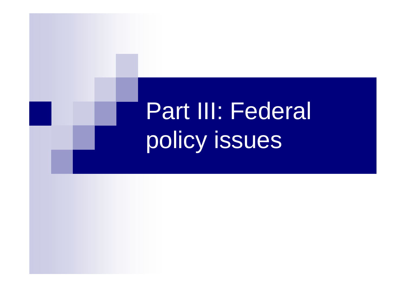# Part III: Federal policy issues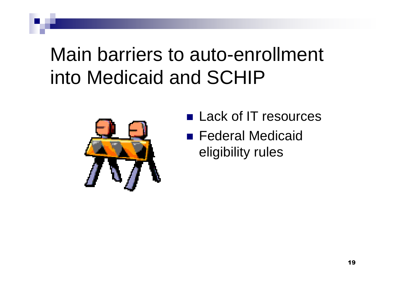### Main barriers to auto-enrollment into Medicaid and SCHIP



- Lack of IT resources
- Federal Medicaid eligibility rules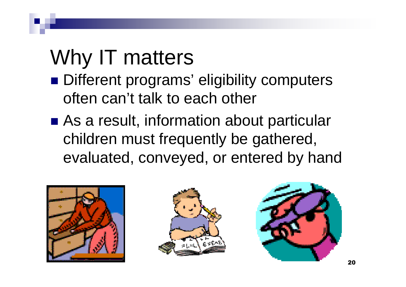## Why IT matters

- Different programs' eligibility computers often can't talk to each other
- As a result, information about particular children must frequently be gathered, evaluated, conveyed, or entered by hand





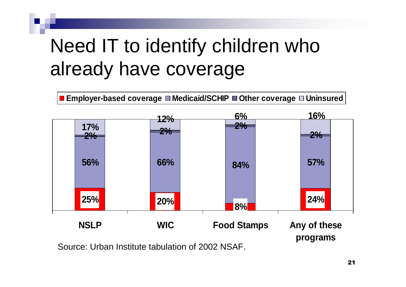## Need IT to identify children who already have coverage





Source: Urban Institute tabulation of 2002 NSAF.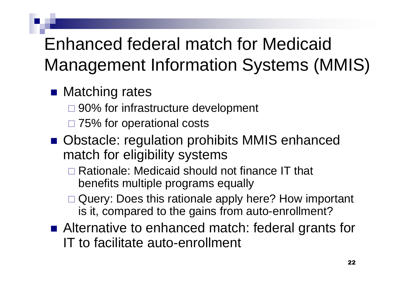#### Enhanced federal match for Medicaid Management Information Systems (MMIS)

#### ■ Matching rates

- □ 90% for infrastructure development
- □ 75% for operational costs
- Obstacle: regulation prohibits MMIS enhanced match for eligibility systems
	- □ Rationale: Medicaid should not finance IT that benefits multiple programs equally
	- □ Query: Does this rationale apply here? How important is it, compared to the gains from auto-enrollment?
- Alternative to enhanced match: federal grants for IT to facilitate auto-enrollment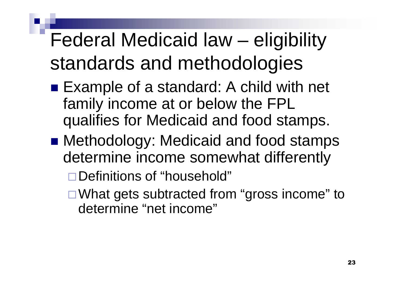## Federal Medicaid law – eligibility standards and methodologies

- Example of a standard: A child with net family income at or below the FPL qualifies for Medicaid and food stamps.
- Methodology: Medicaid and food stamps determine income somewhat differently

□ Definitions of "household"

□ What gets subtracted from "gross income" to determine "net income"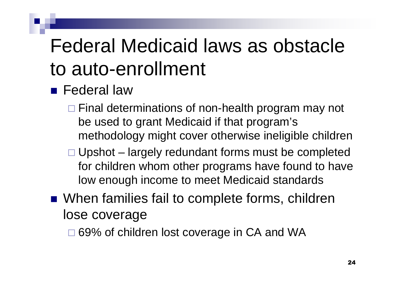## Federal Medicaid laws as obstacle to auto-enrollment

- **Federal law** 
	- $\Box$  Final determinations of non-health program may not be used to grant Medicaid if that program's methodology might cover otherwise ineligible children
	- $\Box$  Upshot largely redundant forms must be completed for children whom other programs have found to have low enough income to meet Medicaid standards
- When families fail to complete forms, children lose coverage

□ 69% of children lost coverage in CA and WA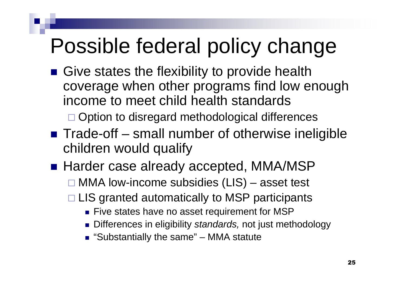## Possible federal policy change

- Give states the flexibility to provide health coverage when other programs find low enough income to meet child health standards □ Option to disregard methodological differences
- $\blacksquare$  Trade-off small number of otherwise ineligible children would qualify
- Harder case already accepted, MMA/MSP  $\Box$  MMA low-income subsidies (LIS) – asset test  $\Box$  LIS granted automatically to MSP participants
	- **Five states have no asset requirement for MSP**
	- Differences in eligibility *standards,* not just methodology
	- "Substantially the same" MMA statute